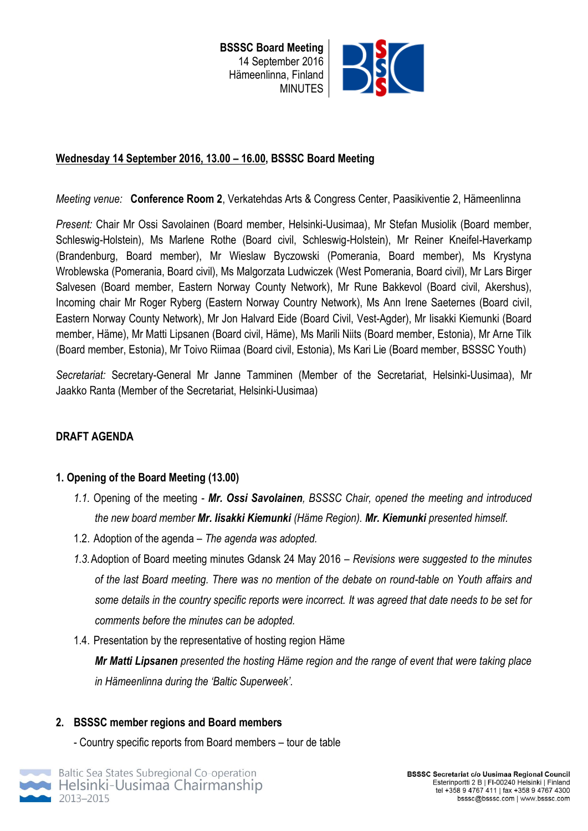

## **Wednesday 14 September 2016, 13.00 – 16.00, BSSSC Board Meeting**

*Meeting venue:* **Conference Room 2**, Verkatehdas Arts & Congress Center, Paasikiventie 2, Hämeenlinna

*Present:* Chair Mr Ossi Savolainen (Board member, Helsinki-Uusimaa), Mr Stefan Musiolik (Board member, Schleswig-Holstein), Ms Marlene Rothe (Board civil, Schleswig-Holstein), Mr Reiner Kneifel-Haverkamp (Brandenburg, Board member), Mr Wieslaw Byczowski (Pomerania, Board member), Ms Krystyna Wroblewska (Pomerania, Board civil), Ms Malgorzata Ludwiczek (West Pomerania, Board civil), Mr Lars Birger Salvesen (Board member, Eastern Norway County Network), Mr Rune Bakkevol (Board civil, Akershus), Incoming chair Mr Roger Ryberg (Eastern Norway Country Network), Ms Ann Irene Saeternes (Board civil, Eastern Norway County Network), Mr Jon Halvard Eide (Board Civil, Vest-Agder), Mr Iisakki Kiemunki (Board member, Häme), Mr Matti Lipsanen (Board civil, Häme), Ms Marili Niits (Board member, Estonia), Mr Arne Tilk (Board member, Estonia), Mr Toivo Riimaa (Board civil, Estonia), Ms Kari Lie (Board member, BSSSC Youth)

*Secretariat:* Secretary-General Mr Janne Tamminen (Member of the Secretariat, Helsinki-Uusimaa), Mr Jaakko Ranta (Member of the Secretariat, Helsinki-Uusimaa)

## **DRAFT AGENDA**

## **1. Opening of the Board Meeting (13.00)**

- *1.1.* Opening of the meeting *Mr. Ossi Savolainen, BSSSC Chair, opened the meeting and introduced the new board member Mr. Iisakki Kiemunki (Häme Region). Mr. Kiemunki presented himself.*
- 1.2. Adoption of the agenda *– The agenda was adopted.*
- *1.3.*Adoption of Board meeting minutes Gdansk 24 May 2016 *– Revisions were suggested to the minutes of the last Board meeting. There was no mention of the debate on round-table on Youth affairs and some details in the country specific reports were incorrect. It was agreed that date needs to be set for comments before the minutes can be adopted.*
- 1.4. Presentation by the representative of hosting region Häme

*Mr Matti Lipsanen presented the hosting Häme region and the range of event that were taking place in Hämeenlinna during the 'Baltic Superweek'.*

## **2. BSSSC member regions and Board members**

- Country specific reports from Board members – tour de table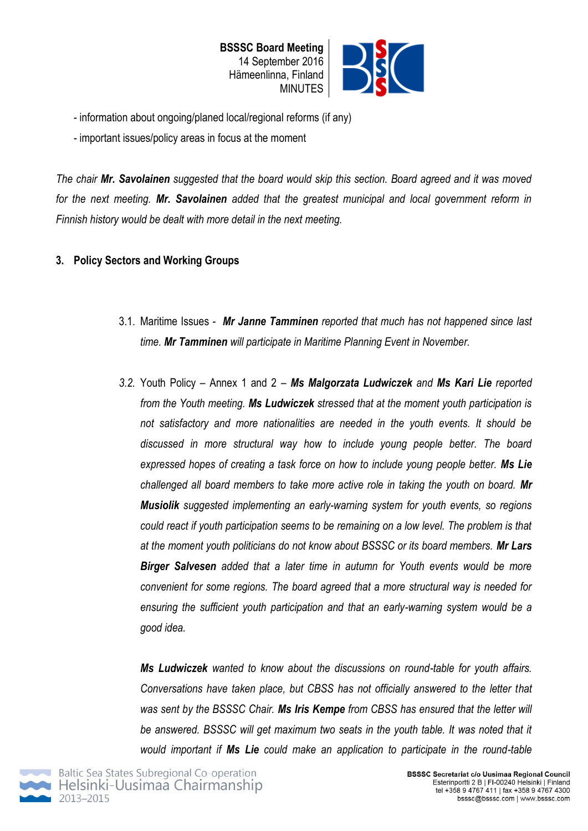

- information about ongoing/planed local/regional reforms (if any)
- important issues/policy areas in focus at the moment

*The chair Mr. Savolainen suggested that the board would skip this section. Board agreed and it was moved for the next meeting. Mr. Savolainen added that the greatest municipal and local government reform in Finnish history would be dealt with more detail in the next meeting.* 

# **3. Policy Sectors and Working Groups**

- 3.1. Maritime Issues *Mr Janne Tamminen reported that much has not happened since last time. Mr Tamminen will participate in Maritime Planning Event in November.*
- *3.2.* Youth Policy Annex 1 and 2 *Ms Malgorzata Ludwiczek and Ms Kari Lie reported from the Youth meeting. Ms Ludwiczek stressed that at the moment youth participation is not satisfactory and more nationalities are needed in the youth events. It should be discussed in more structural way how to include young people better. The board expressed hopes of creating a task force on how to include young people better. Ms Lie challenged all board members to take more active role in taking the youth on board. Mr Musiolik suggested implementing an early-warning system for youth events, so regions could react if youth participation seems to be remaining on a low level. The problem is that at the moment youth politicians do not know about BSSSC or its board members. Mr Lars Birger Salvesen added that a later time in autumn for Youth events would be more convenient for some regions. The board agreed that a more structural way is needed for ensuring the sufficient youth participation and that an early-warning system would be a good idea.*

*Ms Ludwiczek wanted to know about the discussions on round-table for youth affairs. Conversations have taken place, but CBSS has not officially answered to the letter that was sent by the BSSSC Chair. Ms Iris Kempe from CBSS has ensured that the letter will be answered. BSSSC will get maximum two seats in the youth table. It was noted that it would important if Ms Lie could make an application to participate in the round-table* 

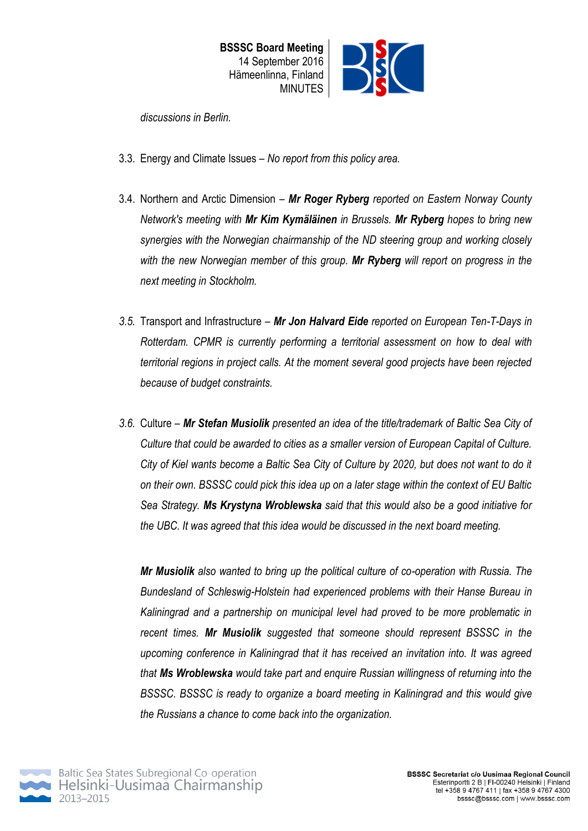*discussions in Berlin.* 

- 3.3. Energy and Climate Issues *No report from this policy area.*
- 3.4. Northern and Arctic Dimension *Mr Roger Ryberg reported on Eastern Norway County Network's meeting with Mr Kim Kymäläinen in Brussels. Mr Ryberg hopes to bring new synergies with the Norwegian chairmanship of the ND steering group and working closely with the new Norwegian member of this group. Mr Ryberg will report on progress in the next meeting in Stockholm.*
- *3.5.* Transport and Infrastructure *Mr Jon Halvard Eide reported on European Ten-T-Days in Rotterdam. CPMR is currently performing a territorial assessment on how to deal with territorial regions in project calls. At the moment several good projects have been rejected because of budget constraints.*
- *3.6.* Culture *Mr Stefan Musiolik presented an idea of the title/trademark of Baltic Sea City of Culture that could be awarded to cities as a smaller version of European Capital of Culture. City of Kiel wants become a Baltic Sea City of Culture by 2020, but does not want to do it on their own. BSSSC could pick this idea up on a later stage within the context of EU Baltic Sea Strategy. Ms Krystyna Wroblewska said that this would also be a good initiative for the UBC. It was agreed that this idea would be discussed in the next board meeting.*

*Mr Musiolik also wanted to bring up the political culture of co-operation with Russia. The Bundesland of Schleswig-Holstein had experienced problems with their Hanse Bureau in Kaliningrad and a partnership on municipal level had proved to be more problematic in recent times. Mr Musiolik suggested that someone should represent BSSSC in the upcoming conference in Kaliningrad that it has received an invitation into. It was agreed that Ms Wroblewska would take part and enquire Russian willingness of returning into the BSSSC. BSSSC is ready to organize a board meeting in Kaliningrad and this would give the Russians a chance to come back into the organization.* 

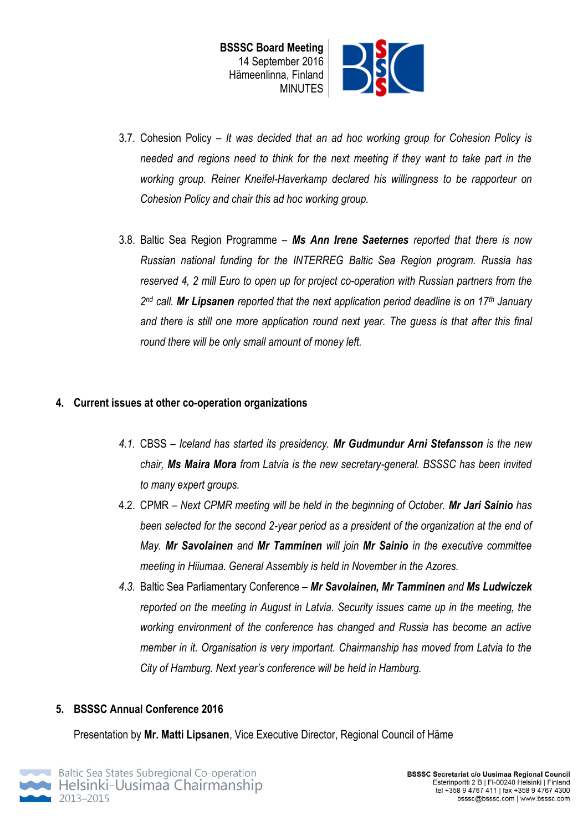

- 3.7. Cohesion Policy *It was decided that an ad hoc working group for Cohesion Policy is needed and regions need to think for the next meeting if they want to take part in the working group. Reiner Kneifel-Haverkamp declared his willingness to be rapporteur on Cohesion Policy and chair this ad hoc working group.*
- 3.8. Baltic Sea Region Programme *Ms Ann Irene Saeternes reported that there is now Russian national funding for the INTERREG Baltic Sea Region program. Russia has reserved 4, 2 mill Euro to open up for project co-operation with Russian partners from the 2 nd call. Mr Lipsanen reported that the next application period deadline is on 17th January and there is still one more application round next year. The guess is that after this final round there will be only small amount of money left.*

#### **4. Current issues at other co-operation organizations**

- *4.1.* CBSS *Iceland has started its presidency. Mr Gudmundur Arni Stefansson is the new chair, Ms Maira Mora from Latvia is the new secretary-general. BSSSC has been invited to many expert groups.*
- 4.2. CPMR *Next CPMR meeting will be held in the beginning of October. Mr Jari Sainio has been selected for the second 2-year period as a president of the organization at the end of May. Mr Savolainen and Mr Tamminen will join Mr Sainio in the executive committee meeting in Hiiumaa. General Assembly is held in November in the Azores.*
- *4.3.* Baltic Sea Parliamentary Conference *Mr Savolainen, Mr Tamminen and Ms Ludwiczek reported on the meeting in August in Latvia. Security issues came up in the meeting, the working environment of the conference has changed and Russia has become an active member in it. Organisation is very important. Chairmanship has moved from Latvia to the City of Hamburg. Next year's conference will be held in Hamburg.*

## **5. BSSSC Annual Conference 2016**

Presentation by **Mr. Matti Lipsanen**, Vice Executive Director, Regional Council of Häme

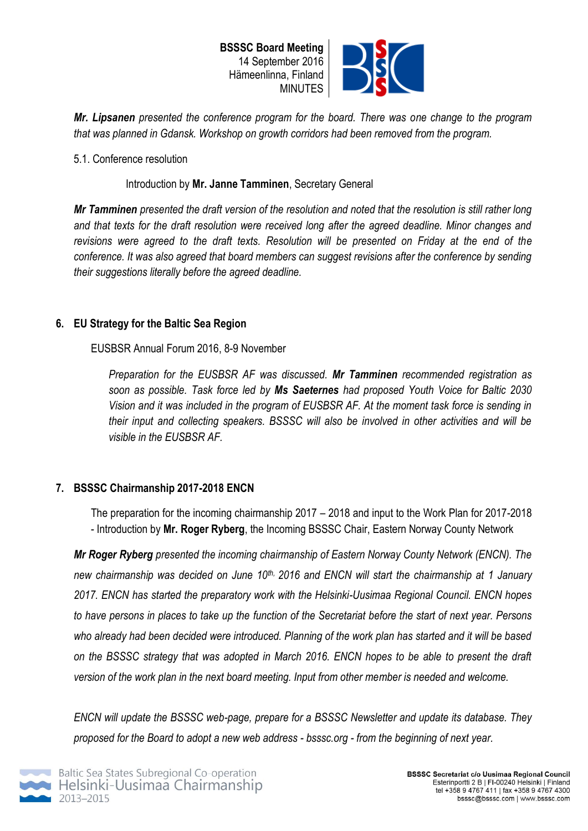

*Mr. Lipsanen presented the conference program for the board. There was one change to the program that was planned in Gdansk. Workshop on growth corridors had been removed from the program.* 

#### 5.1. Conference resolution

#### Introduction by **Mr. Janne Tamminen**, Secretary General

*Mr Tamminen presented the draft version of the resolution and noted that the resolution is still rather long and that texts for the draft resolution were received long after the agreed deadline. Minor changes and revisions were agreed to the draft texts. Resolution will be presented on Friday at the end of the conference. It was also agreed that board members can suggest revisions after the conference by sending their suggestions literally before the agreed deadline.*

## **6. EU Strategy for the Baltic Sea Region**

EUSBSR Annual Forum 2016, 8-9 November

*Preparation for the EUSBSR AF was discussed. Mr Tamminen recommended registration as soon as possible. Task force led by Ms Saeternes had proposed Youth Voice for Baltic 2030 Vision and it was included in the program of EUSBSR AF. At the moment task force is sending in their input and collecting speakers. BSSSC will also be involved in other activities and will be visible in the EUSBSR AF.* 

## **7. BSSSC Chairmanship 2017-2018 ENCN**

The preparation for the incoming chairmanship 2017 – 2018 and input to the Work Plan for 2017-2018 - Introduction by **Mr. Roger Ryberg**, the Incoming BSSSC Chair, Eastern Norway County Network

*Mr Roger Ryberg presented the incoming chairmanship of Eastern Norway County Network (ENCN). The new chairmanship was decided on June 10th, 2016 and ENCN will start the chairmanship at 1 January 2017. ENCN has started the preparatory work with the Helsinki-Uusimaa Regional Council. ENCN hopes to have persons in places to take up the function of the Secretariat before the start of next year. Persons who already had been decided were introduced. Planning of the work plan has started and it will be based on the BSSSC strategy that was adopted in March 2016. ENCN hopes to be able to present the draft version of the work plan in the next board meeting. Input from other member is needed and welcome.* 

*ENCN will update the BSSSC web-page, prepare for a BSSSC Newsletter and update its database. They proposed for the Board to adopt a new web address - bsssc.org - from the beginning of next year.*

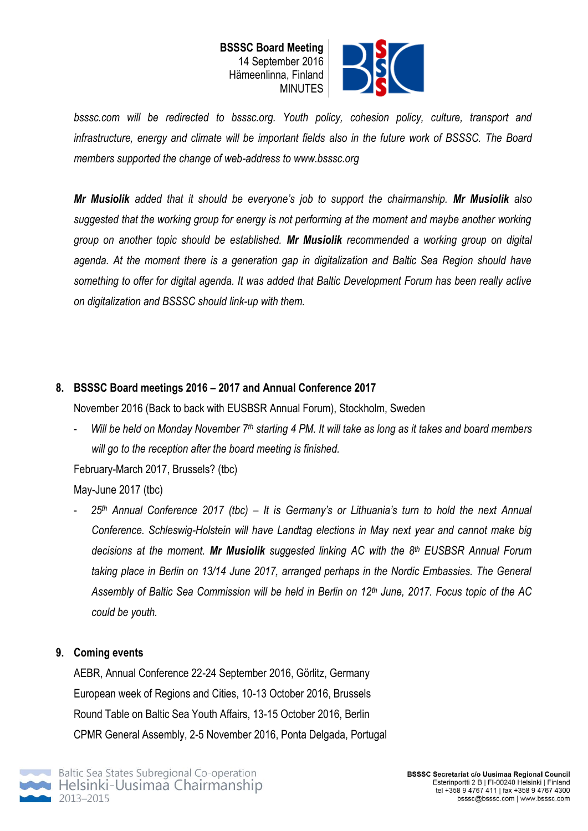



*bsssc.com will be redirected to bsssc.org. Youth policy, cohesion policy, culture, transport and infrastructure, energy and climate will be important fields also in the future work of BSSSC. The Board members supported the change of web-address to www.bsssc.org*

*Mr Musiolik added that it should be everyone's job to support the chairmanship. Mr Musiolik also suggested that the working group for energy is not performing at the moment and maybe another working group on another topic should be established. Mr Musiolik recommended a working group on digital agenda. At the moment there is a generation gap in digitalization and Baltic Sea Region should have something to offer for digital agenda. It was added that Baltic Development Forum has been really active on digitalization and BSSSC should link-up with them.*

# **8. BSSSC Board meetings 2016 – 2017 and Annual Conference 2017**

November 2016 (Back to back with EUSBSR Annual Forum), Stockholm, Sweden

- *Will be held on Monday November 7th starting 4 PM. It will take as long as it takes and board members will go to the reception after the board meeting is finished.* 

February-March 2017, Brussels? (tbc)

May-June 2017 (tbc)

- *25th Annual Conference 2017 (tbc) – It is Germany's or Lithuania's turn to hold the next Annual Conference. Schleswig-Holstein will have Landtag elections in May next year and cannot make big decisions at the moment. Mr Musiolik suggested linking AC with the 8th EUSBSR Annual Forum taking place in Berlin on 13/14 June 2017, arranged perhaps in the Nordic Embassies. The General Assembly of Baltic Sea Commission will be held in Berlin on 12th June, 2017. Focus topic of the AC could be youth.* 

## **9. Coming events**

AEBR, Annual Conference 22-24 September 2016, Görlitz, Germany European week of Regions and Cities, 10-13 October 2016, Brussels Round Table on Baltic Sea Youth Affairs, 13-15 October 2016, Berlin CPMR General Assembly, 2-5 November 2016, Ponta Delgada, Portugal